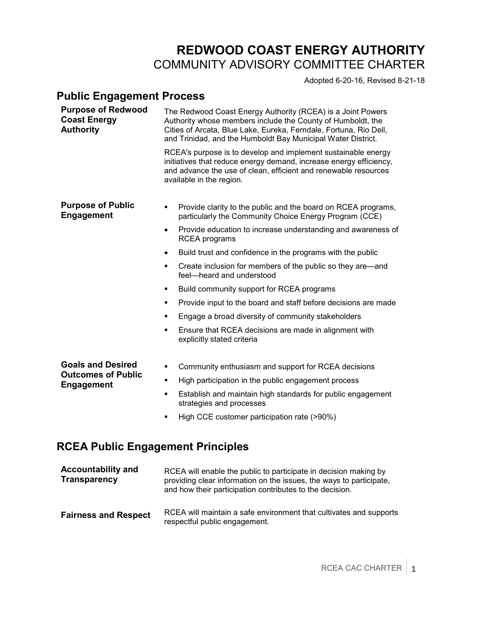## **REDWOOD COAST ENERGY AUTHORITY**  COMMUNITY ADVISORY COMMITTEE CHARTER

Adopted 6-20-16, Revised 8-21-18

## **Public Engagement Process**

| <b>Purpose of Redwood</b><br><b>Coast Energy</b><br><b>Authority</b> |           | The Redwood Coast Energy Authority (RCEA) is a Joint Powers<br>Authority whose members include the County of Humboldt, the<br>Cities of Arcata, Blue Lake, Eureka, Ferndale, Fortuna, Rio Dell,<br>and Trinidad, and the Humboldt Bay Municipal Water District. |
|----------------------------------------------------------------------|-----------|-----------------------------------------------------------------------------------------------------------------------------------------------------------------------------------------------------------------------------------------------------------------|
|                                                                      |           | RCEA's purpose is to develop and implement sustainable energy<br>initiatives that reduce energy demand, increase energy efficiency,<br>and advance the use of clean, efficient and renewable resources<br>available in the region.                              |
| <b>Purpose of Public</b><br><b>Engagement</b>                        | ٠         | Provide clarity to the public and the board on RCEA programs,<br>particularly the Community Choice Energy Program (CCE)                                                                                                                                         |
|                                                                      | $\bullet$ | Provide education to increase understanding and awareness of<br><b>RCEA</b> programs                                                                                                                                                                            |
|                                                                      | $\bullet$ | Build trust and confidence in the programs with the public                                                                                                                                                                                                      |
|                                                                      | ٠         | Create inclusion for members of the public so they are—and<br>feel-heard and understood                                                                                                                                                                         |
|                                                                      | ٠         | Build community support for RCEA programs                                                                                                                                                                                                                       |
|                                                                      | ٠         | Provide input to the board and staff before decisions are made                                                                                                                                                                                                  |
|                                                                      | ٠         | Engage a broad diversity of community stakeholders                                                                                                                                                                                                              |
|                                                                      | ٠         | Ensure that RCEA decisions are made in alignment with<br>explicitly stated criteria                                                                                                                                                                             |
| <b>Goals and Desired</b><br><b>Outcomes of Public</b>                | ٠         | Community enthusiasm and support for RCEA decisions                                                                                                                                                                                                             |
| <b>Engagement</b>                                                    | ٠         | High participation in the public engagement process                                                                                                                                                                                                             |
|                                                                      | ٠         | Establish and maintain high standards for public engagement<br>strategies and processes                                                                                                                                                                         |
|                                                                      | ٠         | High CCE customer participation rate (>90%)                                                                                                                                                                                                                     |

## **RCEA Public Engagement Principles**

| <b>Accountability and</b><br><b>Transparency</b> | RCEA will enable the public to participate in decision making by<br>providing clear information on the issues, the ways to participate,<br>and how their participation contributes to the decision. |
|--------------------------------------------------|-----------------------------------------------------------------------------------------------------------------------------------------------------------------------------------------------------|
| <b>Fairness and Respect</b>                      | RCEA will maintain a safe environment that cultivates and supports<br>respectful public engagement.                                                                                                 |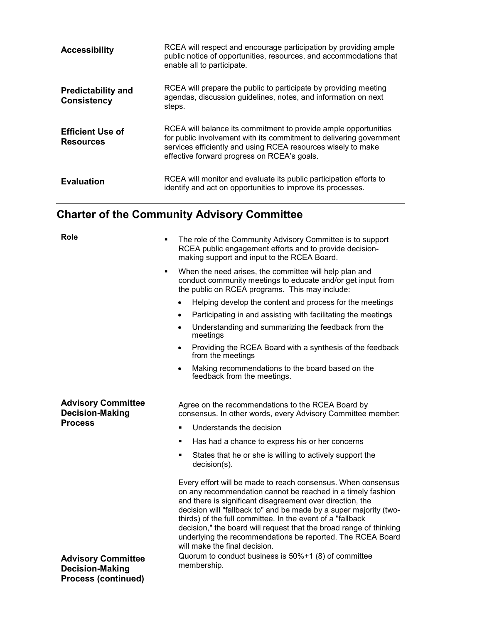| <b>Accessibility</b>                            | RCEA will respect and encourage participation by providing ample<br>public notice of opportunities, resources, and accommodations that<br>enable all to participate.                                                                                  |
|-------------------------------------------------|-------------------------------------------------------------------------------------------------------------------------------------------------------------------------------------------------------------------------------------------------------|
| <b>Predictability and</b><br><b>Consistency</b> | RCEA will prepare the public to participate by providing meeting<br>agendas, discussion guidelines, notes, and information on next<br>steps.                                                                                                          |
| <b>Efficient Use of</b><br><b>Resources</b>     | RCEA will balance its commitment to provide ample opportunities<br>for public involvement with its commitment to delivering government<br>services efficiently and using RCEA resources wisely to make<br>effective forward progress on RCEA's goals. |
| <b>Evaluation</b>                               | RCEA will monitor and evaluate its public participation efforts to<br>identify and act on opportunities to improve its processes.                                                                                                                     |

## **Charter of the Community Advisory Committee**

| <b>Role</b>                                                                       | The role of the Community Advisory Committee is to support<br>٠<br>RCEA public engagement efforts and to provide decision-<br>making support and input to the RCEA Board.                                                                                                                                                                                                                                                                                                                        |
|-----------------------------------------------------------------------------------|--------------------------------------------------------------------------------------------------------------------------------------------------------------------------------------------------------------------------------------------------------------------------------------------------------------------------------------------------------------------------------------------------------------------------------------------------------------------------------------------------|
|                                                                                   | When the need arises, the committee will help plan and<br>$\blacksquare$<br>conduct community meetings to educate and/or get input from<br>the public on RCEA programs. This may include:                                                                                                                                                                                                                                                                                                        |
|                                                                                   | Helping develop the content and process for the meetings                                                                                                                                                                                                                                                                                                                                                                                                                                         |
|                                                                                   | Participating in and assisting with facilitating the meetings<br>$\bullet$                                                                                                                                                                                                                                                                                                                                                                                                                       |
|                                                                                   | Understanding and summarizing the feedback from the<br>$\bullet$<br>meetings                                                                                                                                                                                                                                                                                                                                                                                                                     |
|                                                                                   | Providing the RCEA Board with a synthesis of the feedback<br>$\bullet$<br>from the meetings                                                                                                                                                                                                                                                                                                                                                                                                      |
|                                                                                   | Making recommendations to the board based on the<br>$\bullet$<br>feedback from the meetings.                                                                                                                                                                                                                                                                                                                                                                                                     |
|                                                                                   |                                                                                                                                                                                                                                                                                                                                                                                                                                                                                                  |
| <b>Advisory Committee</b><br><b>Decision-Making</b>                               | Agree on the recommendations to the RCEA Board by<br>consensus. In other words, every Advisory Committee member:                                                                                                                                                                                                                                                                                                                                                                                 |
| <b>Process</b>                                                                    | Understands the decision<br>٠                                                                                                                                                                                                                                                                                                                                                                                                                                                                    |
|                                                                                   | Has had a chance to express his or her concerns<br>$\blacksquare$                                                                                                                                                                                                                                                                                                                                                                                                                                |
|                                                                                   | States that he or she is willing to actively support the<br>٠<br>$decision(s)$ .                                                                                                                                                                                                                                                                                                                                                                                                                 |
|                                                                                   | Every effort will be made to reach consensus. When consensus<br>on any recommendation cannot be reached in a timely fashion<br>and there is significant disagreement over direction, the<br>decision will "fallback to" and be made by a super majority (two-<br>thirds) of the full committee. In the event of a "fallback<br>decision," the board will request that the broad range of thinking<br>underlying the recommendations be reported. The RCEA Board<br>will make the final decision. |
| <b>Advisory Committee</b><br><b>Decision-Making</b><br><b>Process (continued)</b> | Quorum to conduct business is 50%+1 (8) of committee<br>membership.                                                                                                                                                                                                                                                                                                                                                                                                                              |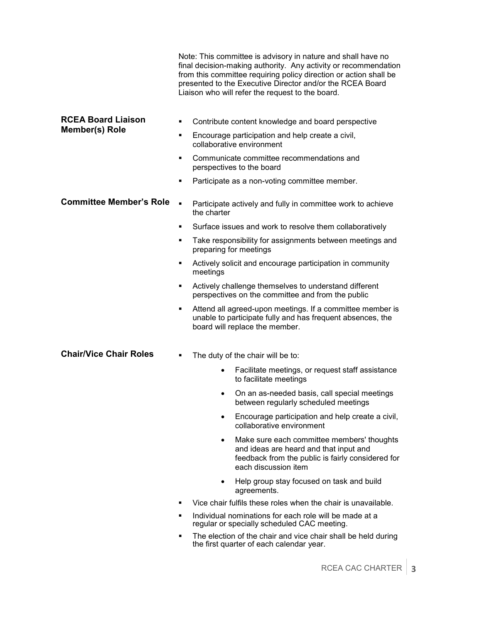|                                             |                | Note: This committee is advisory in nature and shall have no<br>final decision-making authority. Any activity or recommendation<br>from this committee requiring policy direction or action shall be<br>presented to the Executive Director and/or the RCEA Board<br>Liaison who will refer the request to the board. |
|---------------------------------------------|----------------|-----------------------------------------------------------------------------------------------------------------------------------------------------------------------------------------------------------------------------------------------------------------------------------------------------------------------|
| <b>RCEA Board Liaison</b><br>Member(s) Role | ٠              | Contribute content knowledge and board perspective                                                                                                                                                                                                                                                                    |
|                                             | ٠              | Encourage participation and help create a civil,<br>collaborative environment                                                                                                                                                                                                                                         |
|                                             | ٠              | Communicate committee recommendations and<br>perspectives to the board                                                                                                                                                                                                                                                |
|                                             | ٠              | Participate as a non-voting committee member.                                                                                                                                                                                                                                                                         |
| <b>Committee Member's Role</b>              | $\blacksquare$ | Participate actively and fully in committee work to achieve<br>the charter                                                                                                                                                                                                                                            |
|                                             | ٠              | Surface issues and work to resolve them collaboratively                                                                                                                                                                                                                                                               |
|                                             | ٠              | Take responsibility for assignments between meetings and<br>preparing for meetings                                                                                                                                                                                                                                    |
|                                             | ٠              | Actively solicit and encourage participation in community<br>meetings                                                                                                                                                                                                                                                 |
|                                             | ٠              | Actively challenge themselves to understand different<br>perspectives on the committee and from the public                                                                                                                                                                                                            |
|                                             | ٠              | Attend all agreed-upon meetings. If a committee member is<br>unable to participate fully and has frequent absences, the<br>board will replace the member.                                                                                                                                                             |
| <b>Chair/Vice Chair Roles</b>               | ٠              | The duty of the chair will be to:                                                                                                                                                                                                                                                                                     |
|                                             |                | Facilitate meetings, or request staff assistance<br>$\bullet$<br>to facilitate meetings                                                                                                                                                                                                                               |
|                                             |                | On an as-needed basis, call special meetings<br>$\bullet$<br>between regularly scheduled meetings                                                                                                                                                                                                                     |
|                                             |                | Encourage participation and help create a civil,<br>collaborative environment                                                                                                                                                                                                                                         |
|                                             |                | Make sure each committee members' thoughts<br>$\bullet$<br>and ideas are heard and that input and<br>feedback from the public is fairly considered for<br>each discussion item                                                                                                                                        |
|                                             |                | Help group stay focused on task and build<br>agreements.                                                                                                                                                                                                                                                              |
|                                             | ٠              | Vice chair fulfils these roles when the chair is unavailable.                                                                                                                                                                                                                                                         |
|                                             | ٠              | Individual nominations for each role will be made at a<br>regular or specially scheduled CAC meeting.                                                                                                                                                                                                                 |
|                                             | ٠              | The election of the chair and vice chair shall be held during<br>the first quarter of each calendar year.                                                                                                                                                                                                             |